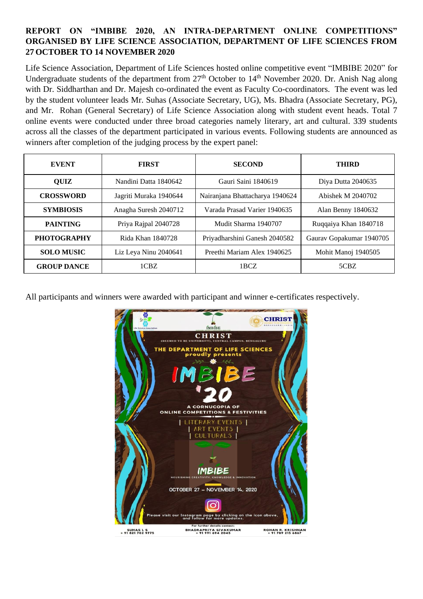## **REPORT ON "IMBIBE 2020, AN INTRA-DEPARTMENT ONLINE COMPETITIONS" ORGANISED BY LIFE SCIENCE ASSOCIATION, DEPARTMENT OF LIFE SCIENCES FROM 27 OCTOBER TO 14 NOVEMBER 2020**

Life Science Association, Department of Life Sciences hosted online competitive event "IMBIBE 2020" for Undergraduate students of the department from  $27<sup>th</sup>$  October to  $14<sup>th</sup>$  November 2020. Dr. Anish Nag along with Dr. Siddharthan and Dr. Majesh co-ordinated the event as Faculty Co-coordinators. The event was led by the student volunteer leads Mr. Suhas (Associate Secretary, UG), Ms. Bhadra (Associate Secretary, PG), and Mr. Rohan (General Secretary) of Life Science Association along with student event heads. Total 7 online events were conducted under three broad categories namely literary, art and cultural. 339 students across all the classes of the department participated in various events. Following students are announced as winners after completion of the judging process by the expert panel:

| <b>EVENT</b>       | <b>FIRST</b>           | <b>SECOND</b>                   | <b>THIRD</b>             |
|--------------------|------------------------|---------------------------------|--------------------------|
| <b>OUIZ</b>        | Nandini Datta 1840642  | Gauri Saini 1840619             | Diya Dutta 2040635       |
| <b>CROSSWORD</b>   | Jagriti Muraka 1940644 | Nairanjana Bhattacharya 1940624 | Abishek M 2040702        |
| <b>SYMBIOSIS</b>   | Anagha Suresh 2040712  | Varada Prasad Varier 1940635    | Alan Benny 1840632       |
| <b>PAINTING</b>    | Priya Rajpal 2040728   | Mudit Sharma 1940707            | Ruqqaiya Khan 1840718    |
| <b>PHOTOGRAPHY</b> | Rida Khan 1840728      | Priyadharshini Ganesh 2040582   | Gaurav Gopakumar 1940705 |
| <b>SOLO MUSIC</b>  | Liz Leya Ninu 2040641  | Preethi Mariam Alex 1940625     | Mohit Manoj 1940505      |
| <b>GROUP DANCE</b> | 1CBZ                   | 1BCZ                            | 5CBZ                     |

All participants and winners were awarded with participant and winner e-certificates respectively.